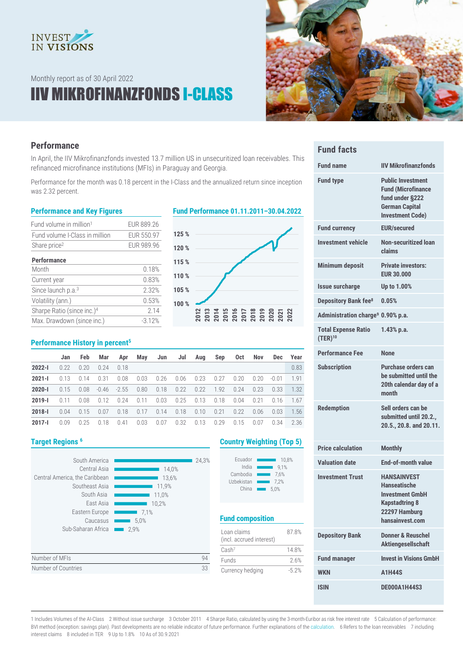

Monthly report as of 30 April 2022

## IIV MIKROFINANZFONDS I-CLASS



### **Performance**

In April, the IIV Mikrofinanzfonds invested 13.7 million US in unsecuritized loan receivables. This refinanced microfinance institutions (MFIs) in Paraguay and Georgia.

Performance for the month was 0.18 percent in the I-Class and the annualized return since inception was 2.32 percent.

| Fund volume in million <sup>1</sup>    | EUR 889.26 |
|----------------------------------------|------------|
| Fund volume I-Class in million         | EUR 550.97 |
| Share price <sup>2</sup>               | EUR 989.96 |
| <b>Performance</b>                     |            |
| Month                                  | 0.18%      |
| Current year                           | 0.83%      |
| Since launch p.a. <sup>3</sup>         | 2.32%      |
| Volatility (ann.)                      | 0.53%      |
| Sharpe Ratio (since inc.) <sup>4</sup> | 2.14       |
| Max. Drawdown (since inc.)             | $-312%$    |

#### **Performance and Key Figures Fund Performance 01.11.2011–30.04.2022**



#### **Performance History in percent<sup>5</sup>**

|            | Jan   | <b>Feb</b> | Mar  | Apr                  | May  | Jun  | Jul            | Aug  | Sep  | Oct  | <b>Nov</b> | Dec     | Year |
|------------|-------|------------|------|----------------------|------|------|----------------|------|------|------|------------|---------|------|
| $2022 - 1$ | 0.22  | 0.20       | 0.24 | 0.18                 |      |      |                |      |      |      |            |         | 0.83 |
| $2021 - 1$ | 0.13  | 0.14       | 0.31 | 0.08                 | 0.03 |      | 0.26 0.06 0.23 |      | 0.27 | 0.20 | 0.20       | $-0.01$ | 1.91 |
| $2020 - 1$ | 0.15  | 0.08       |      | $-0.46$ $-2.55$ 0.80 |      | 0.18 | 0.22           | 0.22 | 1.92 | 0.24 | 0.23       | 0.33    | 1.32 |
| $2019 - I$ | 0.11  | 0.08       | 0.12 | 0.24                 | 0.11 | 0.03 | 0.25           | 0.13 | 0.18 | 0.04 | 0.21       | 0.16    | 1.67 |
| $2018 - 1$ | 0.04  | 0.15       | 0.07 | 0.18                 | 0.17 | 0.14 | 0.18           | 0.10 | 0.21 | 0.22 | 0.06       | 0.03    | 1.56 |
| 2017-l     | 0 Q Q | 0.25       | 0.18 | 0.41                 | 0.03 | 0.07 | 0.32           | 0.13 | 0.29 | 0.15 | 0.07       | 0.34    | 2.36 |



#### **Target Regions <sup>6</sup> Country Weighting (Top 5)**

| Ecuador    | 10.8% |
|------------|-------|
| India      | 9.1%  |
| Cambodia   | 7.6%  |
| Uzbekistan | 7.2%  |
| China      | 5.0%  |

### **Fund composition**

| Loan claims<br>(incl. accrued interest) | 87.8%   |
|-----------------------------------------|---------|
| Cash <sup>7</sup>                       | 148%    |
| <b>Funds</b>                            | 26%     |
| Currency hedging                        | $-5.2%$ |

| <b>Fund facts</b>                             |                                                                                                                              |
|-----------------------------------------------|------------------------------------------------------------------------------------------------------------------------------|
| <b>Fund name</b>                              | <b>IIV Mikrofinanzfonds</b>                                                                                                  |
| <b>Fund type</b>                              | <b>Public Investment</b><br><b>Fund (Microfinance</b><br>fund under §222<br><b>German Capital</b><br><b>Investment Code)</b> |
| <b>Fund currency</b>                          | <b>EUR/secured</b>                                                                                                           |
| <b>Investment vehicle</b>                     | Non-securitized loan<br>claims                                                                                               |
| <b>Minimum deposit</b>                        | <b>Private investors:</b><br><b>EUR 30,000</b>                                                                               |
| <b>Issue surcharge</b>                        | Up to 1.00%                                                                                                                  |
| <b>Depository Bank fee<sup>8</sup></b>        | 0.05%                                                                                                                        |
| Administration charge <sup>9</sup> 0.90% p.a. |                                                                                                                              |
| <b>Total Expense Ratio</b><br>$(TER)^{10}$    | $1.43%$ p.a.                                                                                                                 |
| <b>Performance Fee</b>                        | <b>None</b>                                                                                                                  |
| <b>Subscription</b>                           | Purchase orders can<br>he submitted until the<br>20th calendar day of a<br>month                                             |
| <b>Redemption</b>                             | Sell orders can be<br>submitted until 20.2.,<br>20.5., 20.8. and 20.11.                                                      |

| <b>Price calculation</b> | <b>Monthly</b>                                                                                                                   |
|--------------------------|----------------------------------------------------------------------------------------------------------------------------------|
| <b>Valuation date</b>    | <b>End-of-month value</b>                                                                                                        |
| <b>Investment Trust</b>  | <b>HANSAINVEST</b><br><b>Hanseatische</b><br><b>Investment GmbH</b><br><b>Kapstadtring 8</b><br>22297 Hamburg<br>hansainvest.com |
| <b>Depository Bank</b>   | Donner & Reuschel<br><b>Aktiengesellschaft</b>                                                                                   |
| <b>Fund manager</b>      | <b>Invest in Visions GmbH</b>                                                                                                    |
| <b>WKN</b>               | <b>A1H44S</b>                                                                                                                    |
| <b>ISIN</b>              | <b>DE000A1H44S3</b>                                                                                                              |

1 Includes Volumes of the AI-Class 2 Without issue surcharge 3 October 2011 4 Sharpe Ratio, calculated by using the 3-month-Euribor as risk free interest rate 5 Calculation of performance: BVI method (exception: savings plan). Past developments are no reliable indicator of future performance. Further explanations of th[e calculation.](https://www.hansainvest.com/deutsch/fondswelt/fondsuebersicht/rechenartenbeschreibung.html) 6 Refers to the loan receivables 7 including interest claims 8 included in TER 9 Up to 1.8% 10 As of 30.9.2021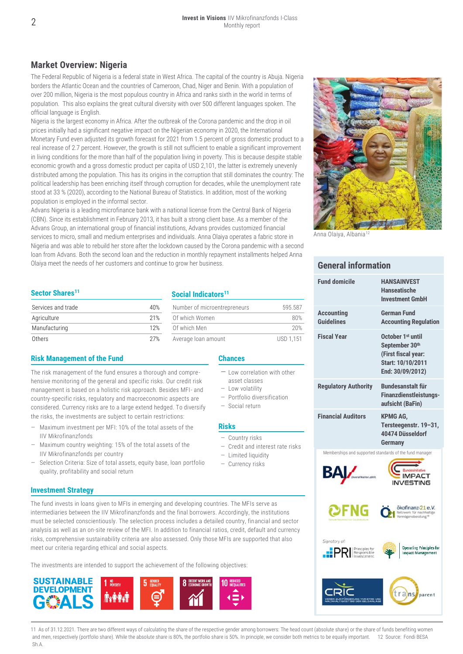### **Market Overview: Nigeria**

The Federal Republic of Nigeria is a federal state in West Africa. The capital of the country is Abuja. Nigeria borders the Atlantic Ocean and the countries of Cameroon, Chad, Niger and Benin. With a population of over 200 million, Nigeria is the most populous country in Africa and ranks sixth in the world in terms of population. This also explains the great cultural diversity with over 500 different languages spoken. The official language is English.

Nigeria is the largest economy in Africa. After the outbreak of the Corona pandemic and the drop in oil prices initially had a significant negative impact on the Nigerian economy in 2020, the International Monetary Fund even adjusted its growth forecast for 2021 from 1.5 percent of gross domestic product to a real increase of 2.7 percent. However, the growth is still not sufficient to enable a significant improvement in living conditions for the more than half of the population living in poverty. This is because despite stable economic growth and a gross domestic product per capita of USD 2,101, the latter is extremely unevenly distributed among the population. This has its origins in the corruption that still dominates the country: The political leadership has been enriching itself through corruption for decades, while the unemployment rate stood at 33 % (2020), according to the National Bureau of Statistics. In addition, most of the working population is employed in the informal sector.

Advans Nigeria is a leading microfinance bank with a national license from the Central Bank of Nigeria (CBN). Since its establishment in February 2013, it has built a strong client base. As a member of the Advans Group, an international group of financial institutions, Advans provides customized financial services to micro, small and medium enterprises and individuals. Anna Olaiya operates a fabric store in Nigeria and was able to rebuild her store after the lockdown caused by the Corona pandemic with a second loan from Advans. Both the second loan and the reduction in monthly repayment installments helped Anna Olaiya meet the needs of her customers and continue to grow her business.

Anna Olaiya, Albania<sup>12</sup>

#### **General information**

| <b>Fund domicile</b>                                                 | <b>HANSAINVEST</b><br><b>Hanseatische</b><br><b>Investment GmbH</b>                                             |
|----------------------------------------------------------------------|-----------------------------------------------------------------------------------------------------------------|
| <b>Accounting</b><br><b>Guidelines</b>                               | <b>German Fund</b><br><b>Accounting Regulation</b>                                                              |
| <b>Fiscal Year</b>                                                   | October 1 <sup>st</sup> until<br>September 30th<br>(First fiscal year:<br>Start: 10/10/2011<br>End: 30/09/2012) |
| <b>Regulatory Authority</b>                                          | <b>Bundesanstalt für</b><br><b>Finanzdienstleistungs-</b><br>aufsicht (BaFin)                                   |
| <b>Financial Auditors</b>                                            | KPMG AG,<br>Tersteegenstr. 19-31,<br>40474 Düsseldorf<br><b>Germany</b>                                         |
| Memberships and supported standards of the fund manager<br>В/        | <b>IMPACT</b><br><b>INVESTING</b>                                                                               |
|                                                                      | ökofinanz-21 e.V.<br>Netzwerk für nachhaltige<br>Vermögensberatung <sup>®</sup>                                 |
| Signatory of:<br>Principles for<br>.:PI<br>Responsible<br>Investment | <b>Operating Principles for</b><br><b>Impact Management</b>                                                     |
|                                                                      | trans<br>parent                                                                                                 |

#### **Sector Shares<sup>11</sup>**

| Services and trade | 40% |
|--------------------|-----|
| Agriculture        | 21% |
| Manufacturing      | 12% |
| Others             |     |

#### **Risk Management of the Fund Chances**

The risk management of the fund ensures a thorough and comprehensive monitoring of the general and specific risks. Our credit risk management is based on a holistic risk approach. Besides MFI- and country-specific risks, regulatory and macroeconomic aspects are considered. Currency risks are to a large extend hedged. To diversify the risks, the investments are subject to certain restrictions:

- Maximum investment per MFI: 10% of the total assets of the IIV Mikrofinanzfonds
- Maximum country weighting: 15% of the total assets of the IIV Mikrofinanzfonds per country
- Selection Criteria: Size of total assets, equity base, loan portfolio quality, profitability and social return

#### **Investment Strategy**

The fund invests in loans given to MFIs in emerging and developing countries. The MFIs serve as intermediaries between the IIV Mikrofinanzfonds and the final borrowers. Accordingly, the institutions must be selected conscientiously. The selection process includes a detailed country, financial and sector analysis as well as an on-site review of the MFI. In addition to financial ratios, credit, default and currency risks, comprehensive sustainability criteria are also assessed. Only those MFIs are supported that also meet our criteria regarding ethical and social aspects.

The investments are intended to support the achievement of the following objectives:



11 As of 31.12.2021. There are two different ways of calculating the share of the respective gender among borrowers: The head count (absolute share) or the share of funds benefiting women and men, respectively (portfolio share). While the absolute share is 80%, the portfolio share is 50%. In principle, we consider both metrics to be equally important. 12 Source: Fondi BESA Sh  $\Delta$ 

#### **Social Indicators<sup>11</sup>**

| Services and trade | 40% | Number of microentrepreneurs | 595.587   |
|--------------------|-----|------------------------------|-----------|
| Agriculture        | 21% | Of which Women               | 80%       |
| Manufacturing      | 12% | Of which Men                 | 20%       |
| Others             | 27% | Average loan amount          | USD 1.151 |

- Low correlation with other
- asset classes — Low volatility
- 
- Portfolio diversification
- Social return

#### **Risks**

- Country risks
- Credit and interest rate risks
- Limited liquidity
- Currency risks